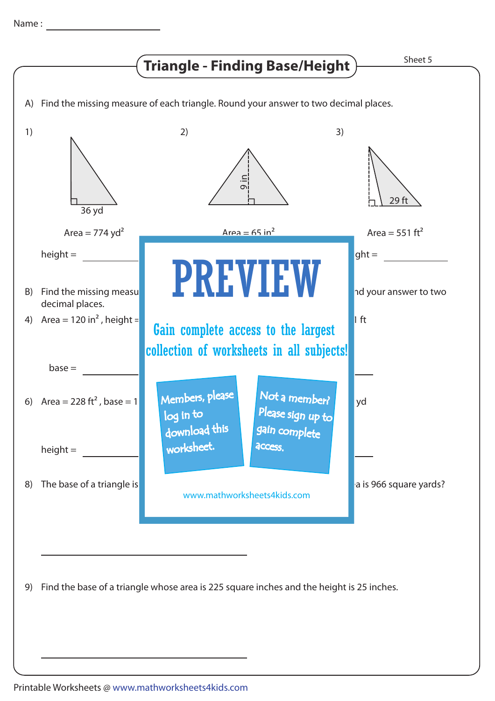